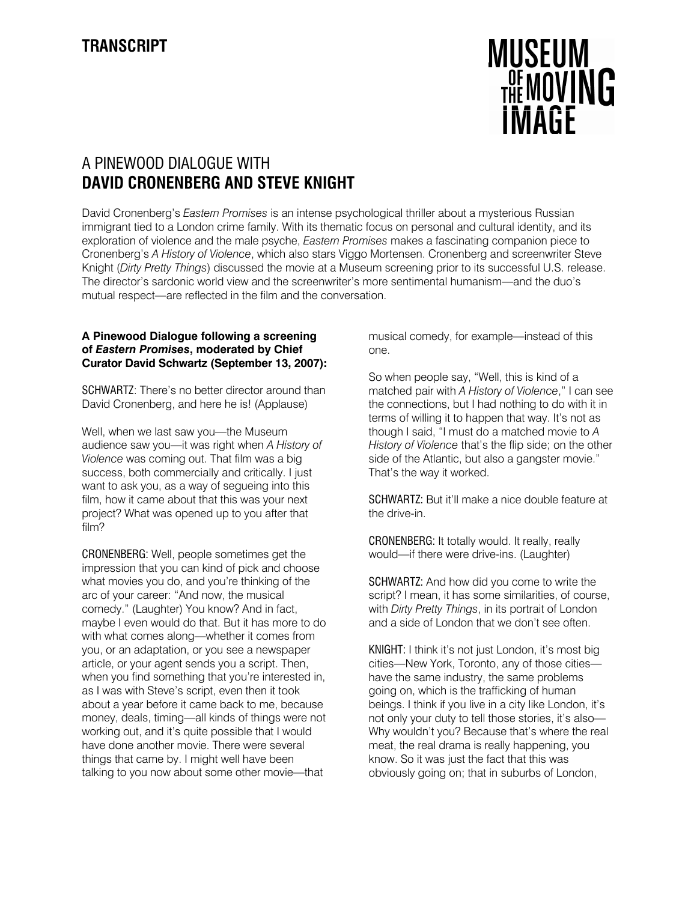# **MUSEUM** THE MOVING **IMAGE**

# A PINEWOOD DIALOGUE WITH **DAVID CRONENBERG AND STEVE KNIGHT**

David Cronenberg's *Eastern Promises* is an intense psychological thriller about a mysterious Russian immigrant tied to a London crime family. With its thematic focus on personal and cultural identity, and its exploration of violence and the male psyche, *Eastern Promises* makes a fascinating companion piece to Cronenberg's *A History of Violence*, which also stars Viggo Mortensen. Cronenberg and screenwriter Steve Knight (*Dirty Pretty Things*) discussed the movie at a Museum screening prior to its successful U.S. release. The director's sardonic world view and the screenwriter's more sentimental humanism—and the duo's mutual respect—are reflected in the film and the conversation.

## **A Pinewood Dialogue following a screening of** *Eastern Promises***, moderated by Chief Curator David Schwartz (September 13, 2007):**

SCHWARTZ: There's no better director around than David Cronenberg, and here he is! (Applause)

Well, when we last saw you—the Museum audience saw you—it was right when *A History of Violence* was coming out. That film was a big success, both commercially and critically. I just want to ask you, as a way of segueing into this film, how it came about that this was your next project? What was opened up to you after that film?

CRONENBERG: Well, people sometimes get the impression that you can kind of pick and choose what movies you do, and you're thinking of the arc of your career: "And now, the musical comedy." (Laughter) You know? And in fact, maybe I even would do that. But it has more to do with what comes along—whether it comes from you, or an adaptation, or you see a newspaper article, or your agent sends you a script. Then, when you find something that you're interested in, as I was with Steve's script, even then it took about a year before it came back to me, because money, deals, timing—all kinds of things were not working out, and it's quite possible that I would have done another movie. There were several things that came by. I might well have been talking to you now about some other movie—that

musical comedy, for example—instead of this one.

So when people say, "Well, this is kind of a matched pair with *A History of Violence*," I can see the connections, but I had nothing to do with it in terms of willing it to happen that way. It's not as though I said, "I must do a matched movie to *A History of Violence* that's the flip side; on the other side of the Atlantic, but also a gangster movie." That's the way it worked.

SCHWARTZ: But it'll make a nice double feature at the drive-in.

CRONENBERG: It totally would. It really, really would—if there were drive-ins. (Laughter)

SCHWARTZ: And how did you come to write the script? I mean, it has some similarities, of course, with *Dirty Pretty Things*, in its portrait of London and a side of London that we don't see often.

KNIGHT: I think it's not just London, it's most big cities—New York, Toronto, any of those cities have the same industry, the same problems going on, which is the trafficking of human beings. I think if you live in a city like London, it's not only your duty to tell those stories, it's also— Why wouldn't you? Because that's where the real meat, the real drama is really happening, you know. So it was just the fact that this was obviously going on; that in suburbs of London,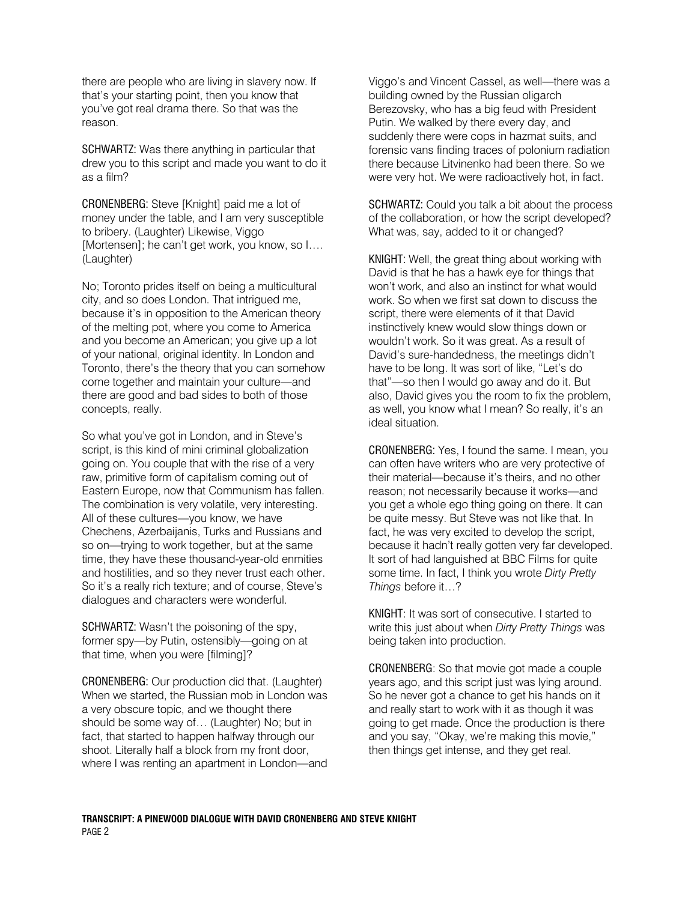there are people who are living in slavery now. If that's your starting point, then you know that you've got real drama there. So that was the reason.

SCHWARTZ: Was there anything in particular that drew you to this script and made you want to do it as a film?

CRONENBERG: Steve [Knight] paid me a lot of money under the table, and I am very susceptible to bribery. (Laughter) Likewise, Viggo [Mortensen]; he can't get work, you know, so  $l...$ (Laughter)

No; Toronto prides itself on being a multicultural city, and so does London. That intrigued me, because it's in opposition to the American theory of the melting pot, where you come to America and you become an American; you give up a lot of your national, original identity. In London and Toronto, there's the theory that you can somehow come together and maintain your culture—and there are good and bad sides to both of those concepts, really.

So what you've got in London, and in Steve's script, is this kind of mini criminal globalization going on. You couple that with the rise of a very raw, primitive form of capitalism coming out of Eastern Europe, now that Communism has fallen. The combination is very volatile, very interesting. All of these cultures—you know, we have Chechens, Azerbaijanis, Turks and Russians and so on—trying to work together, but at the same time, they have these thousand-year-old enmities and hostilities, and so they never trust each other. So it's a really rich texture; and of course, Steve's dialogues and characters were wonderful.

SCHWARTZ: Wasn't the poisoning of the spy, former spy—by Putin, ostensibly—going on at that time, when you were [filming]?

CRONENBERG: Our production did that. (Laughter) When we started, the Russian mob in London was a very obscure topic, and we thought there should be some way of… (Laughter) No; but in fact, that started to happen halfway through our shoot. Literally half a block from my front door, where I was renting an apartment in London—and Viggo's and Vincent Cassel, as well—there was a building owned by the Russian oligarch Berezovsky, who has a big feud with President Putin. We walked by there every day, and suddenly there were cops in hazmat suits, and forensic vans finding traces of polonium radiation there because Litvinenko had been there. So we were very hot. We were radioactively hot, in fact.

SCHWARTZ: Could you talk a bit about the process of the collaboration, or how the script developed? What was, say, added to it or changed?

KNIGHT: Well, the great thing about working with David is that he has a hawk eye for things that won't work, and also an instinct for what would work. So when we first sat down to discuss the script, there were elements of it that David instinctively knew would slow things down or wouldn't work. So it was great. As a result of David's sure-handedness, the meetings didn't have to be long. It was sort of like, "Let's do that"—so then I would go away and do it. But also, David gives you the room to fix the problem, as well, you know what I mean? So really, it's an ideal situation.

CRONENBERG: Yes, I found the same. I mean, you can often have writers who are very protective of their material—because it's theirs, and no other reason; not necessarily because it works—and you get a whole ego thing going on there. It can be quite messy. But Steve was not like that. In fact, he was very excited to develop the script, because it hadn't really gotten very far developed. It sort of had languished at BBC Films for quite some time. In fact, I think you wrote *Dirty Pretty Things* before it…?

KNIGHT: It was sort of consecutive. I started to write this just about when *Dirty Pretty Things* was being taken into production.

CRONENBERG: So that movie got made a couple years ago, and this script just was lying around. So he never got a chance to get his hands on it and really start to work with it as though it was going to get made. Once the production is there and you say, "Okay, we're making this movie," then things get intense, and they get real.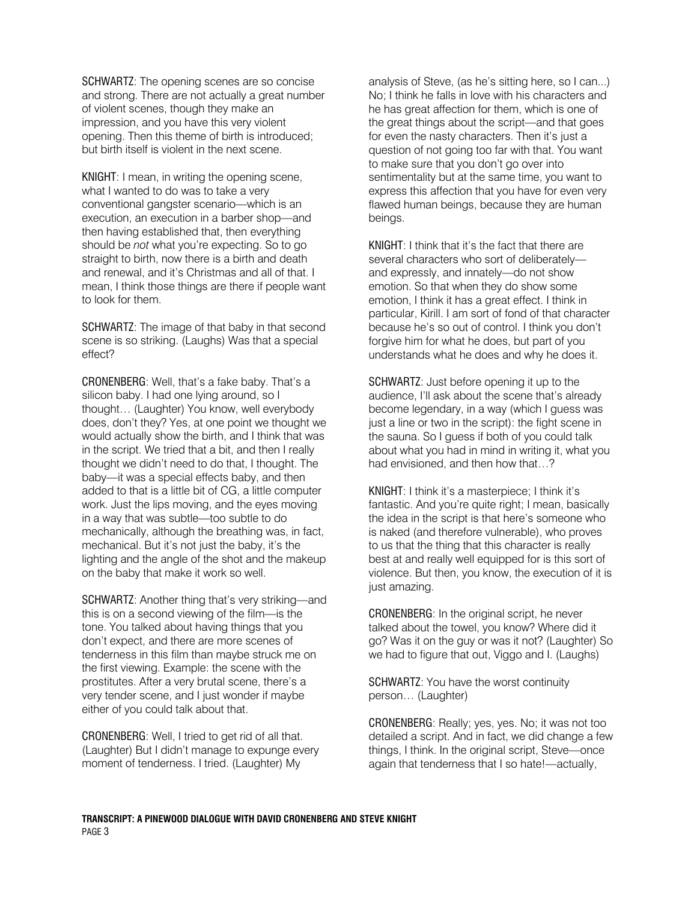SCHWARTZ: The opening scenes are so concise and strong. There are not actually a great number of violent scenes, though they make an impression, and you have this very violent opening. Then this theme of birth is introduced; but birth itself is violent in the next scene.

KNIGHT: I mean, in writing the opening scene, what I wanted to do was to take a very conventional gangster scenario—which is an execution, an execution in a barber shop—and then having established that, then everything should be *not* what you're expecting. So to go straight to birth, now there is a birth and death and renewal, and it's Christmas and all of that. I mean, I think those things are there if people want to look for them.

SCHWARTZ: The image of that baby in that second scene is so striking. (Laughs) Was that a special effect?

CRONENBERG: Well, that's a fake baby. That's a silicon baby. I had one lying around, so I thought… (Laughter) You know, well everybody does, don't they? Yes, at one point we thought we would actually show the birth, and I think that was in the script. We tried that a bit, and then I really thought we didn't need to do that, I thought. The baby—it was a special effects baby, and then added to that is a little bit of CG, a little computer work. Just the lips moving, and the eyes moving in a way that was subtle—too subtle to do mechanically, although the breathing was, in fact, mechanical. But it's not just the baby, it's the lighting and the angle of the shot and the makeup on the baby that make it work so well.

SCHWARTZ: Another thing that's very striking—and this is on a second viewing of the film—is the tone. You talked about having things that you don't expect, and there are more scenes of tenderness in this film than maybe struck me on the first viewing. Example: the scene with the prostitutes. After a very brutal scene, there's a very tender scene, and I just wonder if maybe either of you could talk about that.

CRONENBERG: Well, I tried to get rid of all that. (Laughter) But I didn't manage to expunge every moment of tenderness. I tried. (Laughter) My

analysis of Steve, (as he's sitting here, so I can...) No; I think he falls in love with his characters and he has great affection for them, which is one of the great things about the script—and that goes for even the nasty characters. Then it's just a question of not going too far with that. You want to make sure that you don't go over into sentimentality but at the same time, you want to express this affection that you have for even very flawed human beings, because they are human beings.

KNIGHT: I think that it's the fact that there are several characters who sort of deliberately and expressly, and innately—do not show emotion. So that when they do show some emotion, I think it has a great effect. I think in particular, Kirill. I am sort of fond of that character because he's so out of control. I think you don't forgive him for what he does, but part of you understands what he does and why he does it.

SCHWARTZ: Just before opening it up to the audience, I'll ask about the scene that's already become legendary, in a way (which I guess was just a line or two in the script): the fight scene in the sauna. So I guess if both of you could talk about what you had in mind in writing it, what you had envisioned, and then how that…?

KNIGHT: I think it's a masterpiece; I think it's fantastic. And you're quite right; I mean, basically the idea in the script is that here's someone who is naked (and therefore vulnerable), who proves to us that the thing that this character is really best at and really well equipped for is this sort of violence. But then, you know, the execution of it is just amazing.

CRONENBERG: In the original script, he never talked about the towel, you know? Where did it go? Was it on the guy or was it not? (Laughter) So we had to figure that out, Viggo and I. (Laughs)

SCHWARTZ: You have the worst continuity person… (Laughter)

CRONENBERG: Really; yes, yes. No; it was not too detailed a script. And in fact, we did change a few things, I think. In the original script, Steve—once again that tenderness that I so hate!—actually,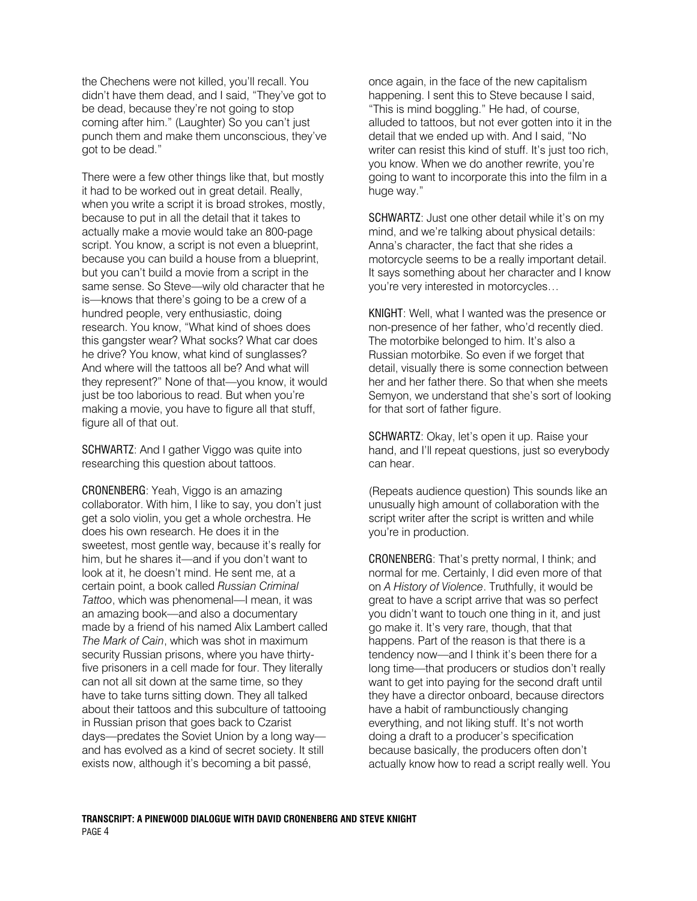the Chechens were not killed, you'll recall. You didn't have them dead, and I said, "They've got to be dead, because they're not going to stop coming after him." (Laughter) So you can't just punch them and make them unconscious, they've got to be dead."

There were a few other things like that, but mostly it had to be worked out in great detail. Really, when you write a script it is broad strokes, mostly, because to put in all the detail that it takes to actually make a movie would take an 800-page script. You know, a script is not even a blueprint, because you can build a house from a blueprint, but you can't build a movie from a script in the same sense. So Steve—wily old character that he is—knows that there's going to be a crew of a hundred people, very enthusiastic, doing research. You know, "What kind of shoes does this gangster wear? What socks? What car does he drive? You know, what kind of sunglasses? And where will the tattoos all be? And what will they represent?" None of that—you know, it would just be too laborious to read. But when you're making a movie, you have to figure all that stuff, figure all of that out.

SCHWARTZ: And I gather Viggo was quite into researching this question about tattoos.

CRONENBERG: Yeah, Viggo is an amazing collaborator. With him, I like to say, you don't just get a solo violin, you get a whole orchestra. He does his own research. He does it in the sweetest, most gentle way, because it's really for him, but he shares it—and if you don't want to look at it, he doesn't mind. He sent me, at a certain point, a book called *Russian Criminal Tattoo*, which was phenomenal—I mean, it was an amazing book—and also a documentary made by a friend of his named Alix Lambert called *The Mark of Cain*, which was shot in maximum security Russian prisons, where you have thirtyfive prisoners in a cell made for four. They literally can not all sit down at the same time, so they have to take turns sitting down. They all talked about their tattoos and this subculture of tattooing in Russian prison that goes back to Czarist days—predates the Soviet Union by a long way and has evolved as a kind of secret society. It still exists now, although it's becoming a bit passé,

once again, in the face of the new capitalism happening. I sent this to Steve because I said, "This is mind boggling." He had, of course, alluded to tattoos, but not ever gotten into it in the detail that we ended up with. And I said, "No writer can resist this kind of stuff. It's just too rich, you know. When we do another rewrite, you're going to want to incorporate this into the film in a huge way."

SCHWARTZ: Just one other detail while it's on my mind, and we're talking about physical details: Anna's character, the fact that she rides a motorcycle seems to be a really important detail. It says something about her character and I know you're very interested in motorcycles…

KNIGHT: Well, what I wanted was the presence or non-presence of her father, who'd recently died. The motorbike belonged to him. It's also a Russian motorbike. So even if we forget that detail, visually there is some connection between her and her father there. So that when she meets Semyon, we understand that she's sort of looking for that sort of father figure.

SCHWARTZ: Okay, let's open it up. Raise your hand, and I'll repeat questions, just so everybody can hear.

(Repeats audience question) This sounds like an unusually high amount of collaboration with the script writer after the script is written and while you're in production.

CRONENBERG: That's pretty normal, I think; and normal for me. Certainly, I did even more of that on *A History of Violence*. Truthfully, it would be great to have a script arrive that was so perfect you didn't want to touch one thing in it, and just go make it. It's very rare, though, that that happens. Part of the reason is that there is a tendency now—and I think it's been there for a long time—that producers or studios don't really want to get into paying for the second draft until they have a director onboard, because directors have a habit of rambunctiously changing everything, and not liking stuff. It's not worth doing a draft to a producer's specification because basically, the producers often don't actually know how to read a script really well. You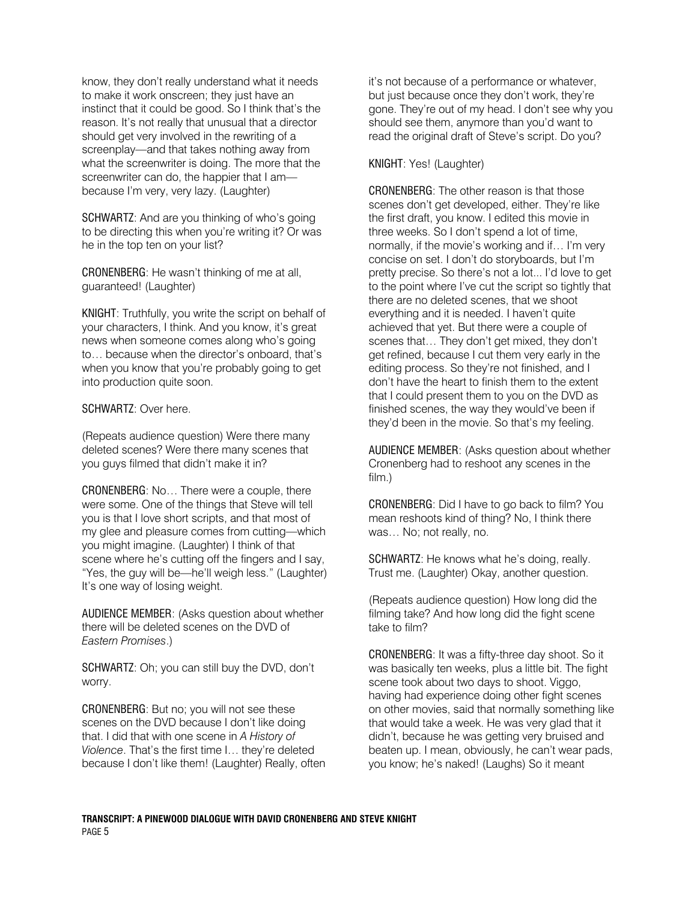know, they don't really understand what it needs to make it work onscreen; they just have an instinct that it could be good. So I think that's the reason. It's not really that unusual that a director should get very involved in the rewriting of a screenplay—and that takes nothing away from what the screenwriter is doing. The more that the screenwriter can do, the happier that I ambecause I'm very, very lazy. (Laughter)

SCHWARTZ: And are you thinking of who's going to be directing this when you're writing it? Or was he in the top ten on your list?

CRONENBERG: He wasn't thinking of me at all, guaranteed! (Laughter)

KNIGHT: Truthfully, you write the script on behalf of your characters, I think. And you know, it's great news when someone comes along who's going to… because when the director's onboard, that's when you know that you're probably going to get into production quite soon.

#### SCHWARTZ: Over here.

(Repeats audience question) Were there many deleted scenes? Were there many scenes that you guys filmed that didn't make it in?

CRONENBERG: No… There were a couple, there were some. One of the things that Steve will tell you is that I love short scripts, and that most of my glee and pleasure comes from cutting—which you might imagine. (Laughter) I think of that scene where he's cutting off the fingers and I say, "Yes, the guy will be—he'll weigh less." (Laughter) It's one way of losing weight.

AUDIENCE MEMBER: (Asks question about whether there will be deleted scenes on the DVD of *Eastern Promises*.)

SCHWARTZ: Oh; you can still buy the DVD, don't worry.

CRONENBERG: But no; you will not see these scenes on the DVD because I don't like doing that. I did that with one scene in *A History of Violence*. That's the first time I… they're deleted because I don't like them! (Laughter) Really, often it's not because of a performance or whatever, but just because once they don't work, they're gone. They're out of my head. I don't see why you should see them, anymore than you'd want to read the original draft of Steve's script. Do you?

### KNIGHT: Yes! (Laughter)

CRONENBERG: The other reason is that those scenes don't get developed, either. They're like the first draft, you know. I edited this movie in three weeks. So I don't spend a lot of time, normally, if the movie's working and if… I'm very concise on set. I don't do storyboards, but I'm pretty precise. So there's not a lot... I'd love to get to the point where I've cut the script so tightly that there are no deleted scenes, that we shoot everything and it is needed. I haven't quite achieved that yet. But there were a couple of scenes that… They don't get mixed, they don't get refined, because I cut them very early in the editing process. So they're not finished, and I don't have the heart to finish them to the extent that I could present them to you on the DVD as finished scenes, the way they would've been if they'd been in the movie. So that's my feeling.

AUDIENCE MEMBER: (Asks question about whether Cronenberg had to reshoot any scenes in the film.)

CRONENBERG: Did I have to go back to film? You mean reshoots kind of thing? No, I think there was… No; not really, no.

SCHWARTZ: He knows what he's doing, really. Trust me. (Laughter) Okay, another question.

(Repeats audience question) How long did the filming take? And how long did the fight scene take to film?

CRONENBERG: It was a fifty-three day shoot. So it was basically ten weeks, plus a little bit. The fight scene took about two days to shoot. Viggo, having had experience doing other fight scenes on other movies, said that normally something like that would take a week. He was very glad that it didn't, because he was getting very bruised and beaten up. I mean, obviously, he can't wear pads, you know; he's naked! (Laughs) So it meant

**TRANSCRIPT: A PINEWOOD DIALOGUE WITH DAVID CRONENBERG AND STEVE KNIGHT**  PAGE 5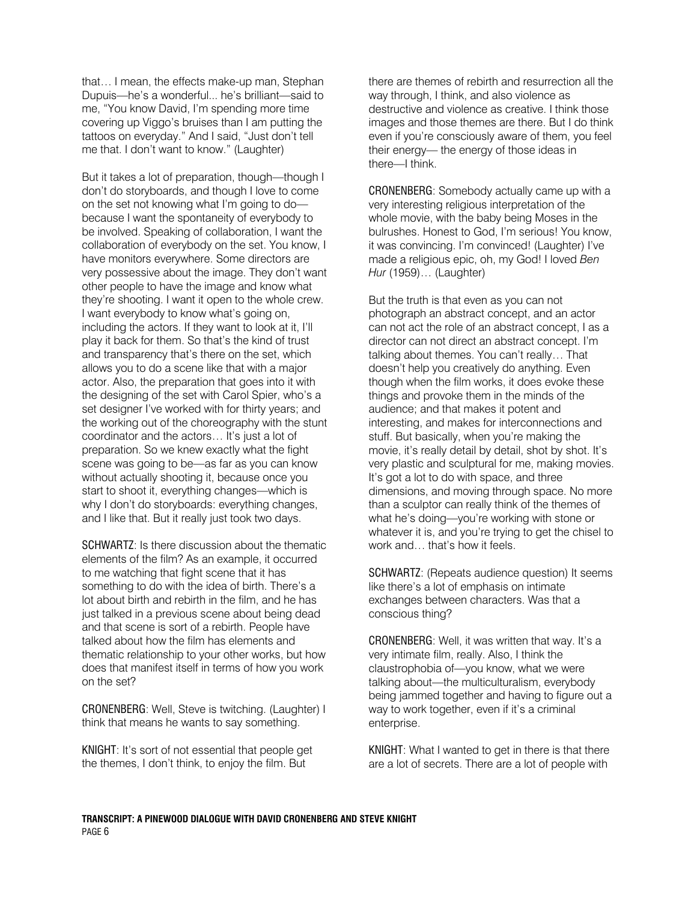that… I mean, the effects make-up man, Stephan Dupuis—he's a wonderful... he's brilliant—said to me, "You know David, I'm spending more time covering up Viggo's bruises than I am putting the tattoos on everyday." And I said, "Just don't tell me that. I don't want to know." (Laughter)

But it takes a lot of preparation, though—though I don't do storyboards, and though I love to come on the set not knowing what I'm going to do because I want the spontaneity of everybody to be involved. Speaking of collaboration, I want the collaboration of everybody on the set. You know, I have monitors everywhere. Some directors are very possessive about the image. They don't want other people to have the image and know what they're shooting. I want it open to the whole crew. I want everybody to know what's going on, including the actors. If they want to look at it, I'll play it back for them. So that's the kind of trust and transparency that's there on the set, which allows you to do a scene like that with a major actor. Also, the preparation that goes into it with the designing of the set with Carol Spier, who's a set designer I've worked with for thirty years; and the working out of the choreography with the stunt coordinator and the actors… It's just a lot of preparation. So we knew exactly what the fight scene was going to be—as far as you can know without actually shooting it, because once you start to shoot it, everything changes—which is why I don't do storyboards: everything changes, and I like that. But it really just took two days.

SCHWARTZ: Is there discussion about the thematic elements of the film? As an example, it occurred to me watching that fight scene that it has something to do with the idea of birth. There's a lot about birth and rebirth in the film, and he has just talked in a previous scene about being dead and that scene is sort of a rebirth. People have talked about how the film has elements and thematic relationship to your other works, but how does that manifest itself in terms of how you work on the set?

CRONENBERG: Well, Steve is twitching. (Laughter) I think that means he wants to say something.

KNIGHT: It's sort of not essential that people get the themes, I don't think, to enjoy the film. But

there are themes of rebirth and resurrection all the way through, I think, and also violence as destructive and violence as creative. I think those images and those themes are there. But I do think even if you're consciously aware of them, you feel their energy— the energy of those ideas in there—I think.

CRONENBERG: Somebody actually came up with a very interesting religious interpretation of the whole movie, with the baby being Moses in the bulrushes. Honest to God, I'm serious! You know, it was convincing. I'm convinced! (Laughter) I've made a religious epic, oh, my God! I loved *Ben Hur* (1959)… (Laughter)

But the truth is that even as you can not photograph an abstract concept, and an actor can not act the role of an abstract concept, I as a director can not direct an abstract concept. I'm talking about themes. You can't really… That doesn't help you creatively do anything. Even though when the film works, it does evoke these things and provoke them in the minds of the audience; and that makes it potent and interesting, and makes for interconnections and stuff. But basically, when you're making the movie, it's really detail by detail, shot by shot. It's very plastic and sculptural for me, making movies. It's got a lot to do with space, and three dimensions, and moving through space. No more than a sculptor can really think of the themes of what he's doing—you're working with stone or whatever it is, and you're trying to get the chisel to work and… that's how it feels.

SCHWARTZ: (Repeats audience question) It seems like there's a lot of emphasis on intimate exchanges between characters. Was that a conscious thing?

CRONENBERG: Well, it was written that way. It's a very intimate film, really. Also, I think the claustrophobia of—you know, what we were talking about—the multiculturalism, everybody being jammed together and having to figure out a way to work together, even if it's a criminal enterprise.

KNIGHT: What I wanted to get in there is that there are a lot of secrets. There are a lot of people with

**TRANSCRIPT: A PINEWOOD DIALOGUE WITH DAVID CRONENBERG AND STEVE KNIGHT**  PAGE 6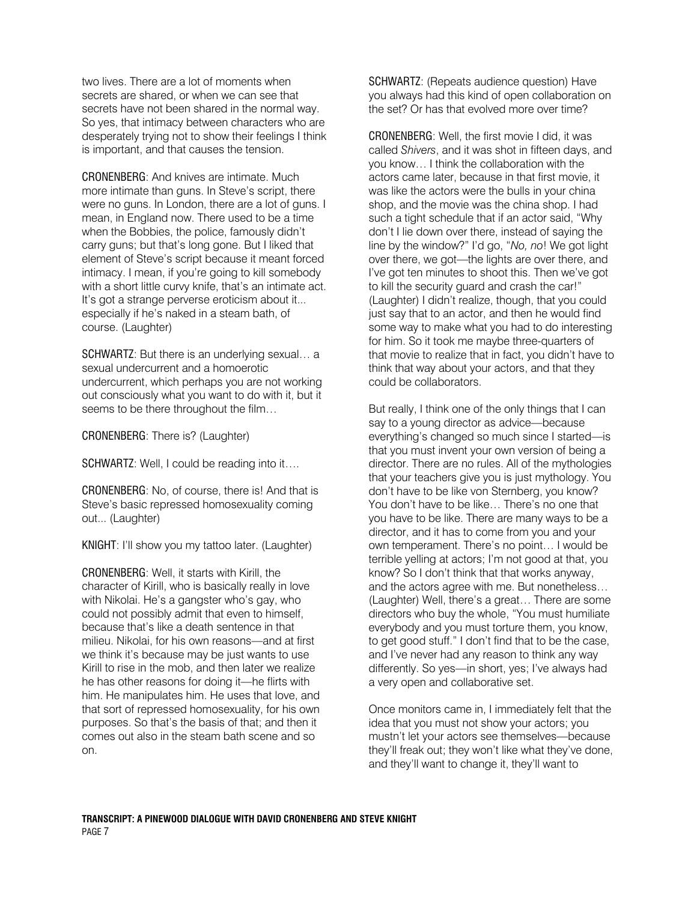two lives. There are a lot of moments when secrets are shared, or when we can see that secrets have not been shared in the normal way. So yes, that intimacy between characters who are desperately trying not to show their feelings I think is important, and that causes the tension.

CRONENBERG: And knives are intimate. Much more intimate than guns. In Steve's script, there were no guns. In London, there are a lot of guns. I mean, in England now. There used to be a time when the Bobbies, the police, famously didn't carry guns; but that's long gone. But I liked that element of Steve's script because it meant forced intimacy. I mean, if you're going to kill somebody with a short little curvy knife, that's an intimate act. It's got a strange perverse eroticism about it... especially if he's naked in a steam bath, of course. (Laughter)

SCHWARTZ: But there is an underlying sexual… a sexual undercurrent and a homoerotic undercurrent, which perhaps you are not working out consciously what you want to do with it, but it seems to be there throughout the film…

CRONENBERG: There is? (Laughter)

SCHWARTZ: Well, I could be reading into it….

CRONENBERG: No, of course, there is! And that is Steve's basic repressed homosexuality coming out... (Laughter)

KNIGHT: I'll show you my tattoo later. (Laughter)

CRONENBERG: Well, it starts with Kirill, the character of Kirill, who is basically really in love with Nikolai. He's a gangster who's gay, who could not possibly admit that even to himself, because that's like a death sentence in that milieu. Nikolai, for his own reasons—and at first we think it's because may be just wants to use Kirill to rise in the mob, and then later we realize he has other reasons for doing it—he flirts with him. He manipulates him. He uses that love, and that sort of repressed homosexuality, for his own purposes. So that's the basis of that; and then it comes out also in the steam bath scene and so on.

SCHWARTZ: (Repeats audience question) Have you always had this kind of open collaboration on the set? Or has that evolved more over time?

CRONENBERG: Well, the first movie I did, it was called *Shivers*, and it was shot in fifteen days, and you know… I think the collaboration with the actors came later, because in that first movie, it was like the actors were the bulls in your china shop, and the movie was the china shop. I had such a tight schedule that if an actor said, "Why don't I lie down over there, instead of saying the line by the window?" I'd go, "*No, no*! We got light over there, we got—the lights are over there, and I've got ten minutes to shoot this. Then we've got to kill the security guard and crash the car!" (Laughter) I didn't realize, though, that you could just say that to an actor, and then he would find some way to make what you had to do interesting for him. So it took me maybe three-quarters of that movie to realize that in fact, you didn't have to think that way about your actors, and that they could be collaborators.

But really, I think one of the only things that I can say to a young director as advice—because everything's changed so much since I started—is that you must invent your own version of being a director. There are no rules. All of the mythologies that your teachers give you is just mythology. You don't have to be like von Sternberg, you know? You don't have to be like… There's no one that you have to be like. There are many ways to be a director, and it has to come from you and your own temperament. There's no point… I would be terrible yelling at actors; I'm not good at that, you know? So I don't think that that works anyway, and the actors agree with me. But nonetheless… (Laughter) Well, there's a great… There are some directors who buy the whole, "You must humiliate everybody and you must torture them, you know, to get good stuff." I don't find that to be the case, and I've never had any reason to think any way differently. So yes—in short, yes; I've always had a very open and collaborative set.

Once monitors came in, I immediately felt that the idea that you must not show your actors; you mustn't let your actors see themselves—because they'll freak out; they won't like what they've done, and they'll want to change it, they'll want to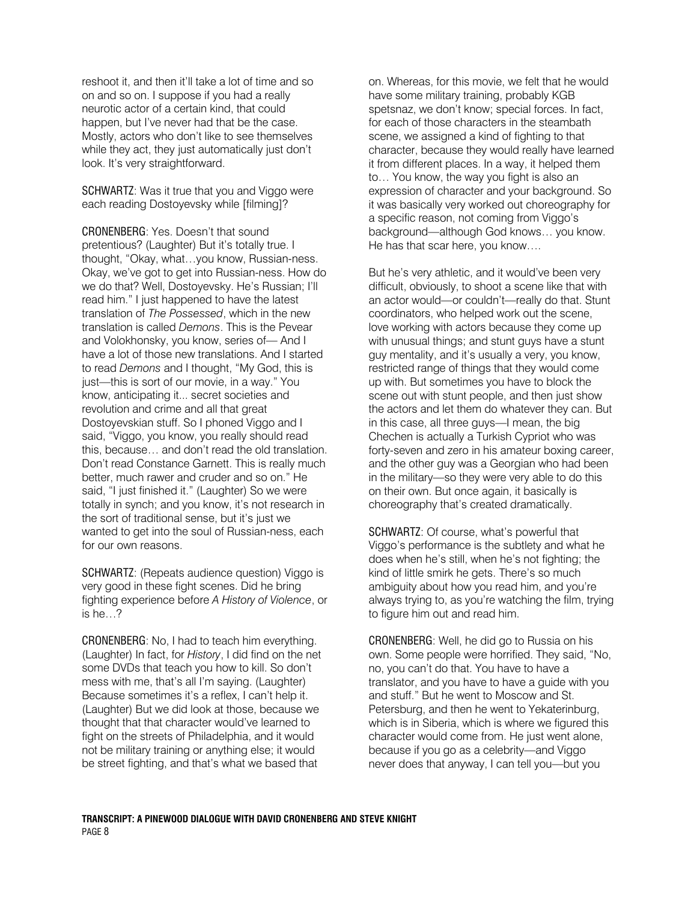reshoot it, and then it'll take a lot of time and so on and so on. I suppose if you had a really neurotic actor of a certain kind, that could happen, but I've never had that be the case. Mostly, actors who don't like to see themselves while they act, they just automatically just don't look. It's very straightforward.

SCHWARTZ: Was it true that you and Viggo were each reading Dostoyevsky while [filming]?

CRONENBERG: Yes. Doesn't that sound pretentious? (Laughter) But it's totally true. I thought, "Okay, what…you know, Russian-ness. Okay, we've got to get into Russian-ness. How do we do that? Well, Dostoyevsky. He's Russian; I'll read him." I just happened to have the latest translation of *The Possessed*, which in the new translation is called *Demons*. This is the Pevear and Volokhonsky, you know, series of— And I have a lot of those new translations. And I started to read *Demons* and I thought, "My God, this is just—this is sort of our movie, in a way." You know, anticipating it... secret societies and revolution and crime and all that great Dostoyevskian stuff. So I phoned Viggo and I said, "Viggo, you know, you really should read this, because… and don't read the old translation. Don't read Constance Garnett. This is really much better, much rawer and cruder and so on." He said, "I just finished it." (Laughter) So we were totally in synch; and you know, it's not research in the sort of traditional sense, but it's just we wanted to get into the soul of Russian-ness, each for our own reasons.

SCHWARTZ: (Repeats audience question) Viggo is very good in these fight scenes. Did he bring fighting experience before *A History of Violence*, or is he…?

CRONENBERG: No, I had to teach him everything. (Laughter) In fact, for *History*, I did find on the net some DVDs that teach you how to kill. So don't mess with me, that's all I'm saying. (Laughter) Because sometimes it's a reflex, I can't help it. (Laughter) But we did look at those, because we thought that that character would've learned to fight on the streets of Philadelphia, and it would not be military training or anything else; it would be street fighting, and that's what we based that

on. Whereas, for this movie, we felt that he would have some military training, probably KGB spetsnaz, we don't know; special forces. In fact, for each of those characters in the steambath scene, we assigned a kind of fighting to that character, because they would really have learned it from different places. In a way, it helped them to… You know, the way you fight is also an expression of character and your background. So it was basically very worked out choreography for a specific reason, not coming from Viggo's background—although God knows… you know. He has that scar here, you know….

But he's very athletic, and it would've been very difficult, obviously, to shoot a scene like that with an actor would—or couldn't—really do that. Stunt coordinators, who helped work out the scene, love working with actors because they come up with unusual things; and stunt guys have a stunt guy mentality, and it's usually a very, you know, restricted range of things that they would come up with. But sometimes you have to block the scene out with stunt people, and then just show the actors and let them do whatever they can. But in this case, all three guys—I mean, the big Chechen is actually a Turkish Cypriot who was forty-seven and zero in his amateur boxing career, and the other guy was a Georgian who had been in the military—so they were very able to do this on their own. But once again, it basically is choreography that's created dramatically.

SCHWARTZ: Of course, what's powerful that Viggo's performance is the subtlety and what he does when he's still, when he's not fighting; the kind of little smirk he gets. There's so much ambiguity about how you read him, and you're always trying to, as you're watching the film, trying to figure him out and read him.

CRONENBERG: Well, he did go to Russia on his own. Some people were horrified. They said, "No, no, you can't do that. You have to have a translator, and you have to have a guide with you and stuff." But he went to Moscow and St. Petersburg, and then he went to Yekaterinburg, which is in Siberia, which is where we figured this character would come from. He just went alone, because if you go as a celebrity—and Viggo never does that anyway, I can tell you—but you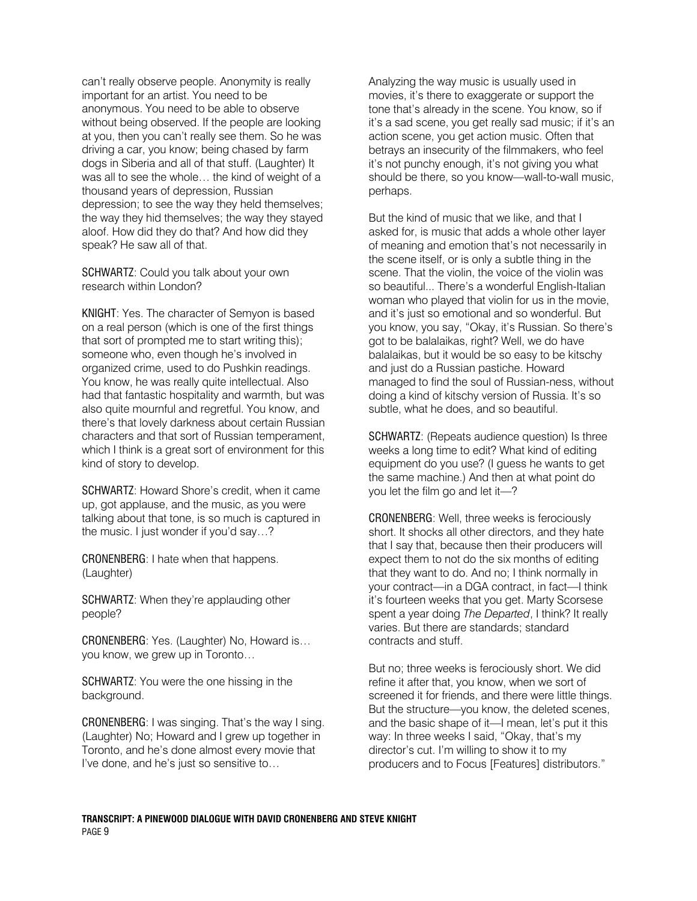can't really observe people. Anonymity is really important for an artist. You need to be anonymous. You need to be able to observe without being observed. If the people are looking at you, then you can't really see them. So he was driving a car, you know; being chased by farm dogs in Siberia and all of that stuff. (Laughter) It was all to see the whole… the kind of weight of a thousand years of depression, Russian depression; to see the way they held themselves; the way they hid themselves; the way they stayed aloof. How did they do that? And how did they speak? He saw all of that.

SCHWARTZ: Could you talk about your own research within London?

KNIGHT: Yes. The character of Semyon is based on a real person (which is one of the first things that sort of prompted me to start writing this); someone who, even though he's involved in organized crime, used to do Pushkin readings. You know, he was really quite intellectual. Also had that fantastic hospitality and warmth, but was also quite mournful and regretful. You know, and there's that lovely darkness about certain Russian characters and that sort of Russian temperament, which I think is a great sort of environment for this kind of story to develop.

SCHWARTZ: Howard Shore's credit, when it came up, got applause, and the music, as you were talking about that tone, is so much is captured in the music. I just wonder if you'd say…?

CRONENBERG: I hate when that happens. (Laughter)

SCHWARTZ: When they're applauding other people?

CRONENBERG: Yes. (Laughter) No, Howard is… you know, we grew up in Toronto…

SCHWARTZ: You were the one hissing in the background.

CRONENBERG: I was singing. That's the way I sing. (Laughter) No; Howard and I grew up together in Toronto, and he's done almost every movie that I've done, and he's just so sensitive to…

Analyzing the way music is usually used in movies, it's there to exaggerate or support the tone that's already in the scene. You know, so if it's a sad scene, you get really sad music; if it's an action scene, you get action music. Often that betrays an insecurity of the filmmakers, who feel it's not punchy enough, it's not giving you what should be there, so you know—wall-to-wall music, perhaps.

But the kind of music that we like, and that I asked for, is music that adds a whole other layer of meaning and emotion that's not necessarily in the scene itself, or is only a subtle thing in the scene. That the violin, the voice of the violin was so beautiful... There's a wonderful English-Italian woman who played that violin for us in the movie, and it's just so emotional and so wonderful. But you know, you say, "Okay, it's Russian. So there's got to be balalaikas, right? Well, we do have balalaikas, but it would be so easy to be kitschy and just do a Russian pastiche. Howard managed to find the soul of Russian-ness, without doing a kind of kitschy version of Russia. It's so subtle, what he does, and so beautiful.

SCHWARTZ: (Repeats audience question) Is three weeks a long time to edit? What kind of editing equipment do you use? (I guess he wants to get the same machine.) And then at what point do you let the film go and let it—?

CRONENBERG: Well, three weeks is ferociously short. It shocks all other directors, and they hate that I say that, because then their producers will expect them to not do the six months of editing that they want to do. And no; I think normally in your contract—in a DGA contract, in fact—I think it's fourteen weeks that you get. Marty Scorsese spent a year doing *The Departed*, I think? It really varies. But there are standards; standard contracts and stuff.

But no; three weeks is ferociously short. We did refine it after that, you know, when we sort of screened it for friends, and there were little things. But the structure—you know, the deleted scenes, and the basic shape of it—I mean, let's put it this way: In three weeks I said, "Okay, that's my director's cut. I'm willing to show it to my producers and to Focus [Features] distributors."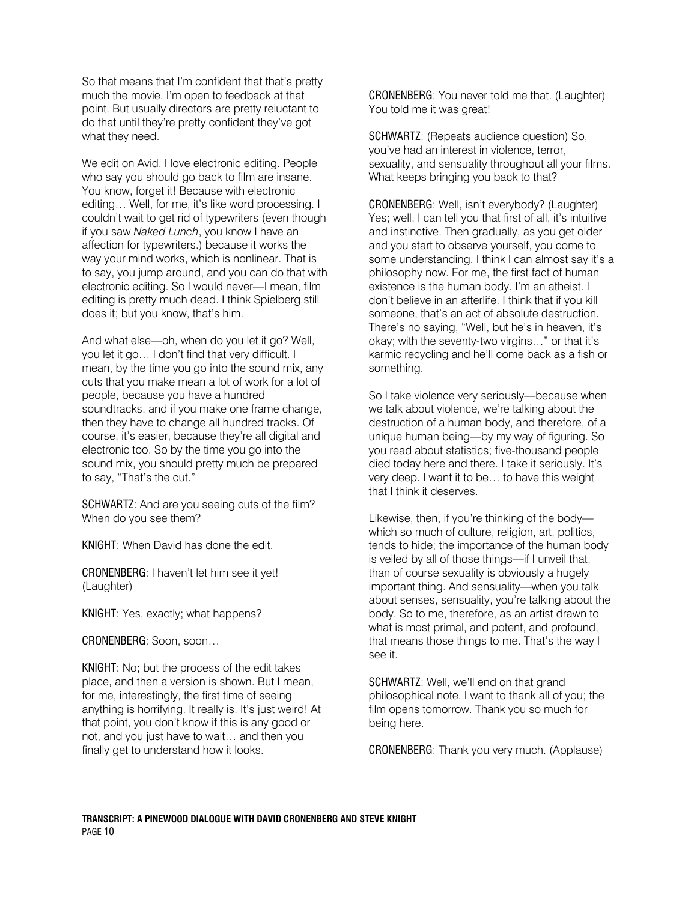So that means that I'm confident that that's pretty much the movie. I'm open to feedback at that point. But usually directors are pretty reluctant to do that until they're pretty confident they've got what they need.

We edit on Avid. I love electronic editing. People who say you should go back to film are insane. You know, forget it! Because with electronic editing… Well, for me, it's like word processing. I couldn't wait to get rid of typewriters (even though if you saw *Naked Lunch*, you know I have an affection for typewriters.) because it works the way your mind works, which is nonlinear. That is to say, you jump around, and you can do that with electronic editing. So I would never—I mean, film editing is pretty much dead. I think Spielberg still does it; but you know, that's him.

And what else—oh, when do you let it go? Well, you let it go… I don't find that very difficult. I mean, by the time you go into the sound mix, any cuts that you make mean a lot of work for a lot of people, because you have a hundred soundtracks, and if you make one frame change, then they have to change all hundred tracks. Of course, it's easier, because they're all digital and electronic too. So by the time you go into the sound mix, you should pretty much be prepared to say, "That's the cut."

SCHWARTZ: And are you seeing cuts of the film? When do you see them?

KNIGHT: When David has done the edit.

CRONENBERG: I haven't let him see it yet! (Laughter)

KNIGHT: Yes, exactly; what happens?

CRONENBERG: Soon, soon…

KNIGHT: No; but the process of the edit takes place, and then a version is shown. But I mean, for me, interestingly, the first time of seeing anything is horrifying. It really is. It's just weird! At that point, you don't know if this is any good or not, and you just have to wait… and then you finally get to understand how it looks.

CRONENBERG: You never told me that. (Laughter) You told me it was great!

SCHWARTZ: (Repeats audience question) So, you've had an interest in violence, terror, sexuality, and sensuality throughout all your films. What keeps bringing you back to that?

CRONENBERG: Well, isn't everybody? (Laughter) Yes; well, I can tell you that first of all, it's intuitive and instinctive. Then gradually, as you get older and you start to observe yourself, you come to some understanding. I think I can almost say it's a philosophy now. For me, the first fact of human existence is the human body. I'm an atheist. I don't believe in an afterlife. I think that if you kill someone, that's an act of absolute destruction. There's no saying, "Well, but he's in heaven, it's okay; with the seventy-two virgins…" or that it's karmic recycling and he'll come back as a fish or something.

So I take violence very seriously—because when we talk about violence, we're talking about the destruction of a human body, and therefore, of a unique human being—by my way of figuring. So you read about statistics; five-thousand people died today here and there. I take it seriously. It's very deep. I want it to be… to have this weight that I think it deserves.

Likewise, then, if you're thinking of the body which so much of culture, religion, art, politics, tends to hide; the importance of the human body is veiled by all of those things—if I unveil that, than of course sexuality is obviously a hugely important thing. And sensuality—when you talk about senses, sensuality, you're talking about the body. So to me, therefore, as an artist drawn to what is most primal, and potent, and profound, that means those things to me. That's the way I see it.

SCHWARTZ: Well, we'll end on that grand philosophical note. I want to thank all of you; the film opens tomorrow. Thank you so much for being here.

CRONENBERG: Thank you very much. (Applause)